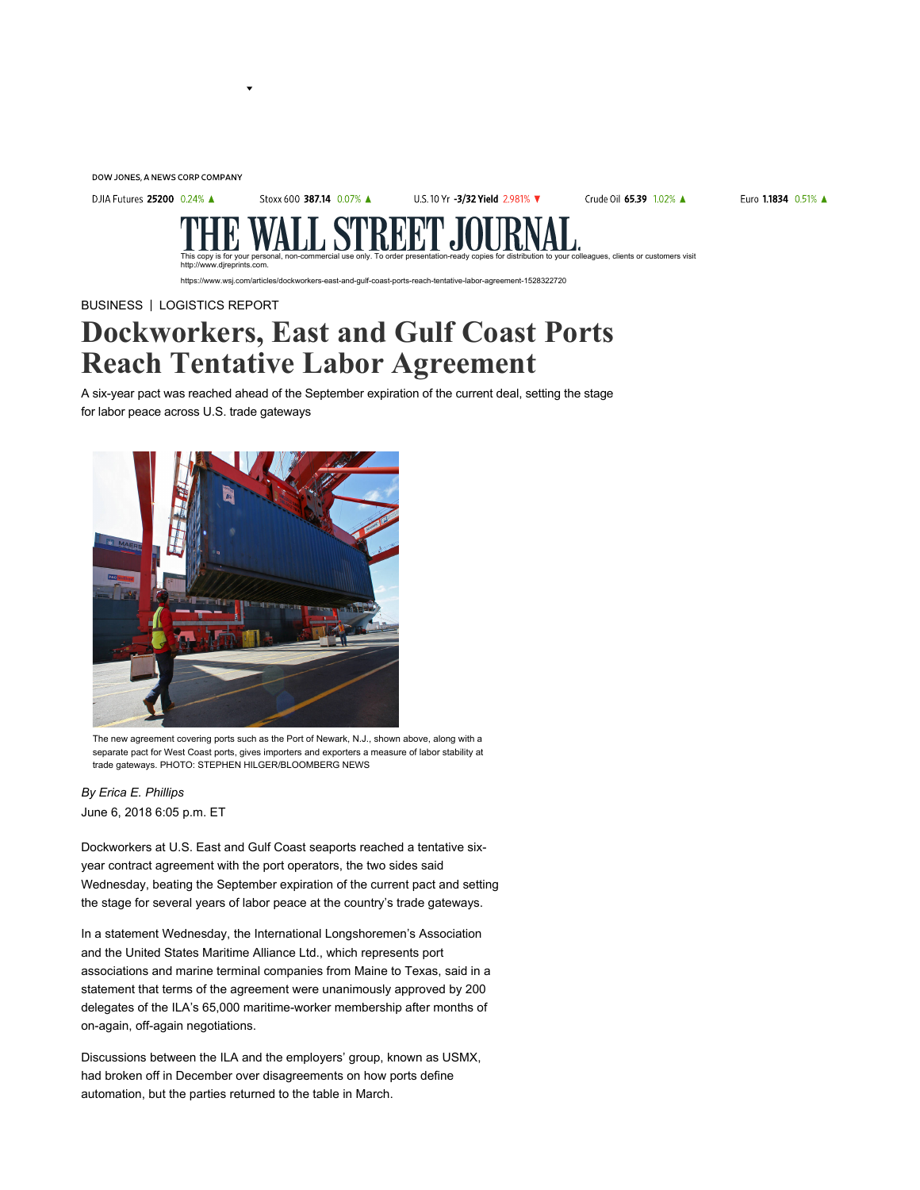DOW JONES, A NEWS CORP COMPANY

DJIA Futures 25200 0.24% ▲

Stoxx 600 387.14 0.07% A

U.S. 10 Yr -3/32 Yield 2.981% ▼

Crude Oil 65.39 1.02% ▲

Euro 1.1834 0.51% A

colleagues, clients or customers visit

www.wsj.com/articles/dockworkers-east-and-gulf-coast-ports-reach-tentative-labor-agreement-1528322720

BUSINESS | LOGISTICS REPORT

http://www.djreprints.com.

## Dockworkers, East and Gulf Coast Ports Reach Tentative Labor Agreement

A six-year pact was reached ahead of the September expiration of the current deal, setting the stage for labor peace across U.S. trade gateways



The new agreement covering ports such as the Port of Newark, N.J., shown above, along with a separate pact for West Coast ports, gives importers and exporters a measure of labor stability at trade gateways. PHOTO: STEPHEN HILGER/BLOOMBERG NEWS

June 6, 2018 6:05 p.m. ET By Erica E. Phillips

Dockworkers at U.S. East and Gulf Coast seaports reached a tentative sixyear contract agreement with the port operators, the two sides said Wednesday, beating the September expiration of the current pact and setting the stage for several years of labor peace at the country's trade gateways.

In a statement Wednesday, the International Longshoremen's Association and the United States Maritime Alliance Ltd., which represents port associations and marine terminal companies from Maine to Texas, said in a statement that terms of the agreement were unanimously approved by 200 delegates of the ILA's 65,000 maritime-worker membership after months of on-again, off-again negotiations.

Discussions between the ILA and the employers' group, known as USMX, had broken off in December over disagreements on how ports define automation, but the parties returned to the table in March.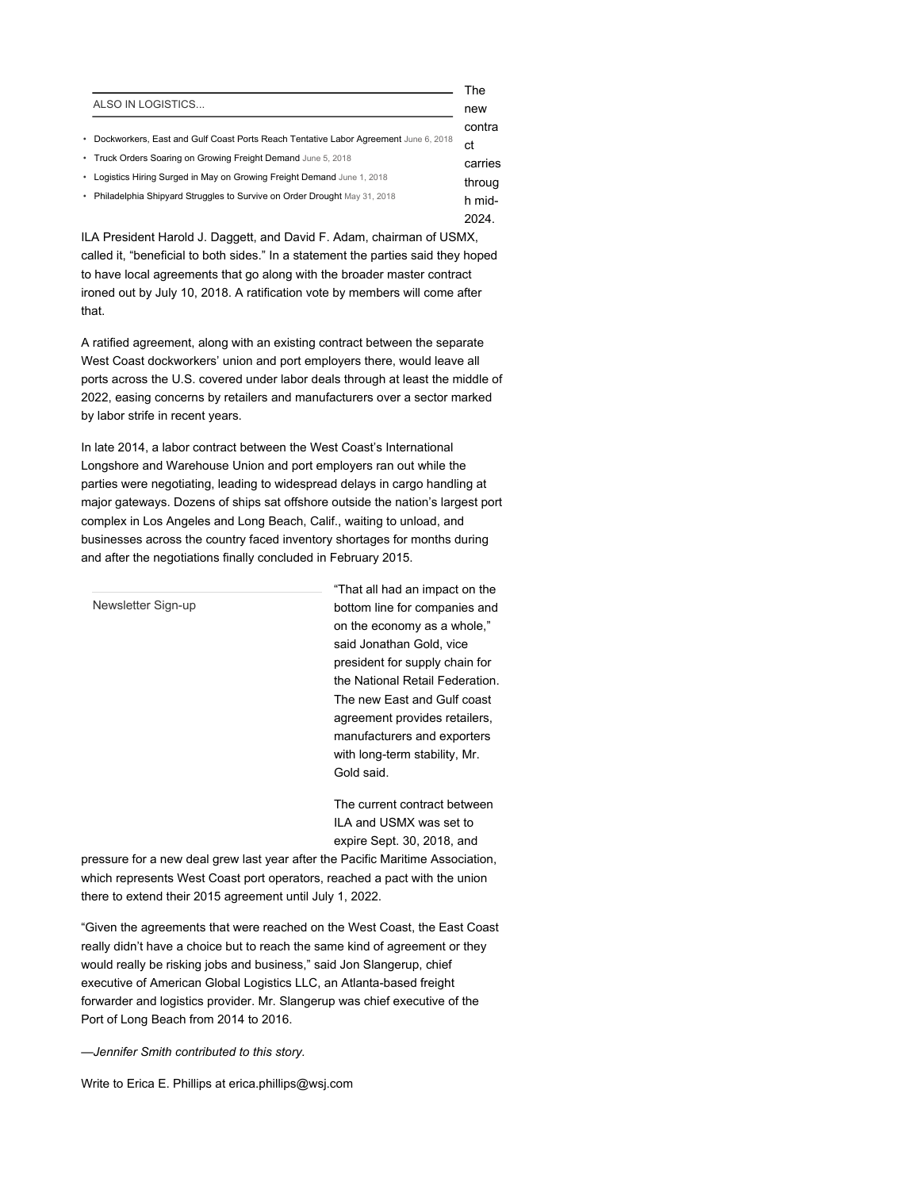|                                                                                       | The     |
|---------------------------------------------------------------------------------------|---------|
| ALSO IN LOGISTICS                                                                     | new     |
|                                                                                       | contra  |
| • Dockworkers, East and Gulf Coast Ports Reach Tentative Labor Agreement June 6, 2018 | ct      |
| • Truck Orders Soaring on Growing Freight Demand June 5, 2018                         | carries |
| • Logistics Hiring Surged in May on Growing Freight Demand June 1, 2018               | throug  |
| • Philadelphia Shipyard Struggles to Survive on Order Drought May 31, 2018            | h mid-  |
|                                                                                       | 2024.   |

ILA President Harold J. Daggett, and David F. Adam, chairman of USMX, called it, "beneficial to both sides." In a statement the parties said they hoped to have local agreements that go along with the broader master contract ironed out by July 10, 2018. A ratification vote by members will come after that.

A ratified agreement, along with an existing contract between the separate West Coast dockworkers' union and port employers there, would leave all ports across the U.S. covered under labor deals through at least the middle of 2022, easing concerns by retailers and manufacturers over a sector marked by labor strife in recent years.

In late 2014, a labor contract between the West Coast's International Longshore and Warehouse Union and port employers ran out while the parties were negotiating, leading to widespread delays in cargo handling at major gateways. Dozens of ships sat offshore outside the nation's largest port complex in Los Angeles and Long Beach, Calif., waiting to unload, and businesses across the country faced inventory shortages for months during and after the negotiations finally concluded in February 2015.

"That all had an impact on the bottom line for companies and on the economy as a whole," said Jonathan Gold, vice president for supply chain for the National Retail Federation. The new East and Gulf coast agreement provides retailers, manufacturers and exporters with long-term stability, Mr. Gold said. Newsletter Sign-up

The current contract between ILA and USMX was set to expire Sept. 30, 2018, and

pressure for a new deal grew last year after the Pacific Maritime Association, which represents West Coast port operators, reached a pact with the union there to extend their 2015 agreement until July 1, 2022.

"Given the agreements that were reached on the West Coast, the East Coast really didn't have a choice but to reach the same kind of agreement or they would really be risking jobs and business," said Jon Slangerup, chief executive of American Global Logistics LLC, an Atlanta-based freight forwarder and logistics provider. Mr. Slangerup was chief executive of the Port of Long Beach from 2014 to 2016.

—Jennifer Smith contributed to this story.

Write to Erica E. Phillips at erica.phillips@wsj.com